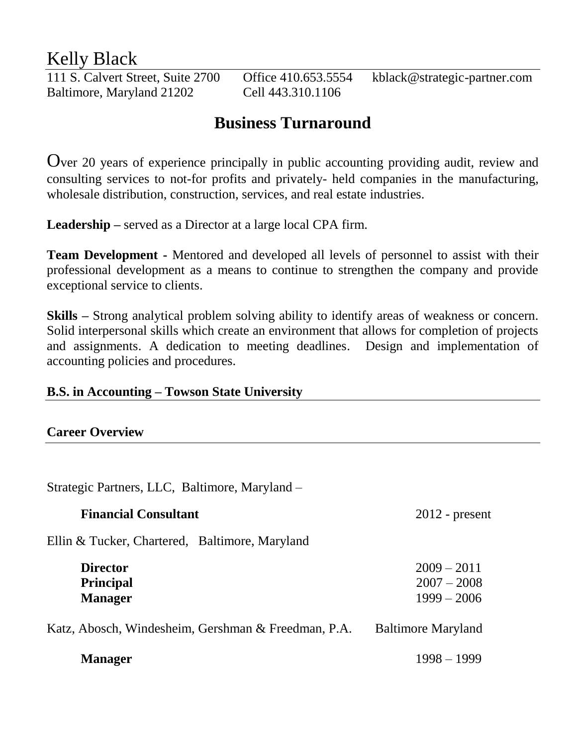# Kelly Black

Baltimore, Maryland 21202 Cell 443.310.1106

111 S. Calvert Street, Suite 2700 Office 410.653.5554 kblack@strategic-partner.com

# **Business Turnaround**

Over 20 years of experience principally in public accounting providing audit, review and consulting services to not-for profits and privately- held companies in the manufacturing, wholesale distribution, construction, services, and real estate industries.

**Leadership –** served as a Director at a large local CPA firm.

**Team Development -** Mentored and developed all levels of personnel to assist with their professional development as a means to continue to strengthen the company and provide exceptional service to clients.

**Skills –** Strong analytical problem solving ability to identify areas of weakness or concern. Solid interpersonal skills which create an environment that allows for completion of projects and assignments. A dedication to meeting deadlines. Design and implementation of accounting policies and procedures.

## **B.S. in Accounting – Towson State University**

### **Career Overview**

Strategic Partners, LLC, Baltimore, Maryland –

| <b>Financial Consultant</b>                           | $2012$ - present                                |
|-------------------------------------------------------|-------------------------------------------------|
| Ellin & Tucker, Chartered, Baltimore, Maryland        |                                                 |
| <b>Director</b><br><b>Principal</b><br><b>Manager</b> | $2009 - 2011$<br>$2007 - 2008$<br>$1999 - 2006$ |
| Katz, Abosch, Windesheim, Gershman & Freedman, P.A.   | <b>Baltimore Maryland</b>                       |
| <b>Manager</b>                                        | $1998 - 1999$                                   |